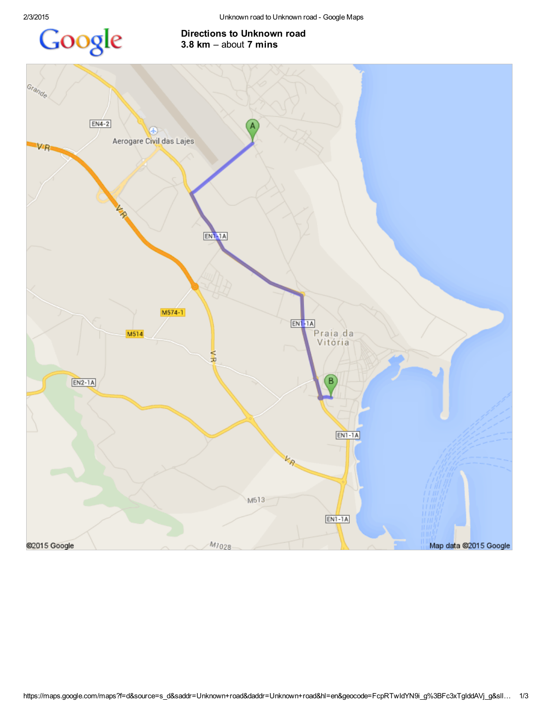

## Directions to Unknown road 3.8  $km -$ about 7 mins

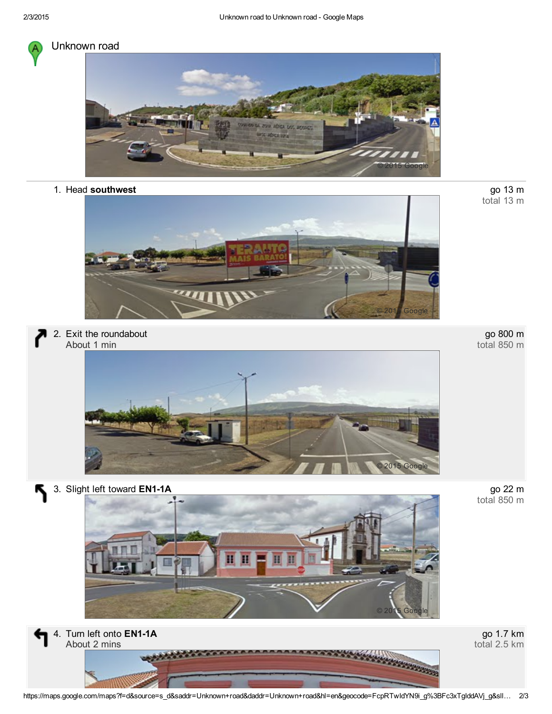

## Unknown road



1. Head southwest



2. Exit the roundabout About 1 min



go 800 m total 850 m

go 13 m<br>total 13 m

go 22 m<br>total 850 m

3. Slight left toward EN1-1A

Қ





go 1.7 km total 2.5 km